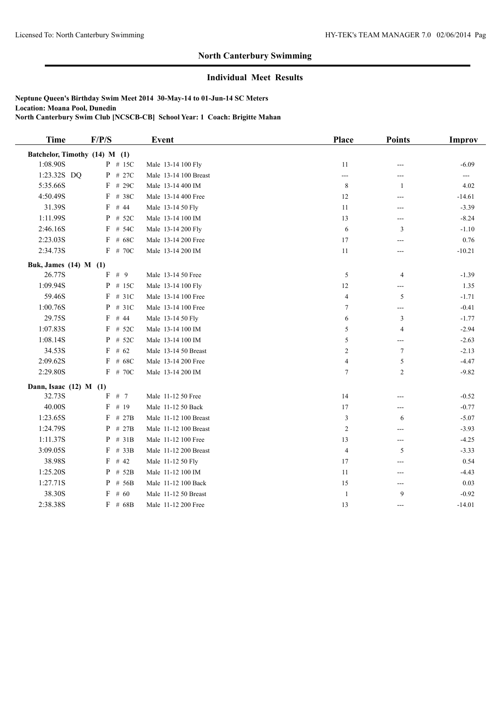#### **Individual Meet Results**

| <b>Time</b>           | F/P/S                         |           | <b>Event</b>          | <b>Place</b>   | <b>Points</b>  | Improv   |
|-----------------------|-------------------------------|-----------|-----------------------|----------------|----------------|----------|
|                       | Batchelor, Timothy (14) M (1) |           |                       |                |                |          |
| 1:08.90S              |                               | $P$ # 15C | Male 13-14 100 Fly    | $11\,$         | ---            | $-6.09$  |
| 1:23.32S DQ           |                               | $P$ # 27C | Male 13-14 100 Breast | ---            | ---            |          |
| 5:35.66S              |                               | $F$ # 29C | Male 13-14 400 IM     | $\,$ 8 $\,$    | -1             | 4.02     |
| 4:50.49S              |                               | $F$ # 38C | Male 13-14 400 Free   | 12             | ---            | $-14.61$ |
| 31.39S                |                               | $F$ # 44  | Male 13-14 50 Fly     | 11             | ---            | $-3.39$  |
| 1:11.99S              |                               | $P$ # 52C | Male 13-14 100 IM     | 13             | ---            | $-8.24$  |
| 2:46.16S              |                               | $F$ # 54C | Male 13-14 200 Fly    | 6              | 3              | $-1.10$  |
| 2:23.03S              |                               | $F$ # 68C | Male 13-14 200 Free   | 17             | ---            | 0.76     |
| 2:34.73S              |                               | $F$ # 70C | Male 13-14 200 IM     | 11             | ---            | $-10.21$ |
| Buk, James (14) M (1) |                               |           |                       |                |                |          |
| 26.77S                |                               | $F$ # 9   | Male 13-14 50 Free    | 5              | $\overline{4}$ | $-1.39$  |
| 1:09.94S              |                               | $P$ # 15C | Male 13-14 100 Fly    | 12             | ---            | 1.35     |
| 59.46S                |                               | $F$ # 31C | Male 13-14 100 Free   | $\overline{4}$ | 5              | $-1.71$  |
| 1:00.76S              |                               | $P$ # 31C | Male 13-14 100 Free   | $\tau$         | ---            | $-0.41$  |
| 29.75S                |                               | $F$ # 44  | Male 13-14 50 Fly     | 6              | $\mathfrak{Z}$ | $-1.77$  |
| 1:07.83S              |                               | $F$ # 52C | Male 13-14 100 IM     | 5              | $\overline{4}$ | $-2.94$  |
| 1:08.14S              |                               | $P$ # 52C | Male 13-14 100 IM     | 5              | ---            | $-2.63$  |
| 34.53S                |                               | $F$ # 62  | Male 13-14 50 Breast  | 2              | 7              | $-2.13$  |
| 2:09.62S              | F                             | # 68C     | Male 13-14 200 Free   | 4              | 5              | $-4.47$  |
| 2:29.80S              |                               | F # 70C   | Male 13-14 200 IM     | $\overline{7}$ | $\overline{2}$ | $-9.82$  |
|                       | Dann, Isaac $(12)$ M $(1)$    |           |                       |                |                |          |
| 32.73S                | F                             | # $7$     | Male 11-12 50 Free    | 14             | ---            | $-0.52$  |
| 40.00S                | $\mathbf F$                   | # 19      | Male 11-12 50 Back    | 17             | ---            | $-0.77$  |
| 1:23.65S              |                               | $F$ # 27B | Male 11-12 100 Breast | 3              | 6              | $-5.07$  |
| 1:24.79S              |                               | $P$ # 27B | Male 11-12 100 Breast | $\overline{c}$ | ---            | $-3.93$  |
| 1:11.37S              |                               | $P$ # 31B | Male 11-12 100 Free   | 13             | ---            | $-4.25$  |
| 3:09.05S              |                               | $F$ # 33B | Male 11-12 200 Breast | $\overline{4}$ | 5              | $-3.33$  |
| 38.98S                |                               | $F$ # 42  | Male 11-12 50 Fly     | 17             | ---            | 0.54     |
| 1:25.20S              |                               | $P$ # 52B | Male 11-12 100 IM     | 11             | $---$          | $-4.43$  |
| 1:27.71S              |                               | $P$ # 56B | Male 11-12 100 Back   | 15             | ---            | 0.03     |
| 38.30S                |                               | $F$ # 60  | Male 11-12 50 Breast  | $\mathbf{1}$   | 9              | $-0.92$  |
| 2:38.38S              |                               | $F$ # 68B | Male 11-12 200 Free   | 13             | ---            | $-14.01$ |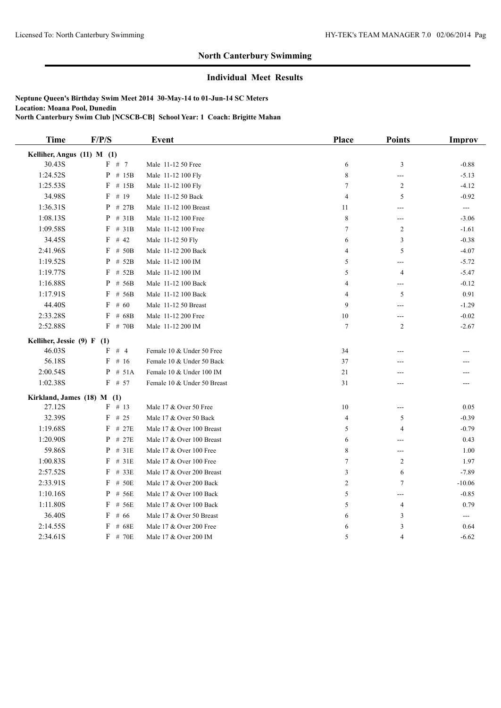# **Individual Meet Results**

| <b>Time</b>                    | F/P/S        | <b>Event</b>                | Place           | <b>Points</b>            | Improv                  |
|--------------------------------|--------------|-----------------------------|-----------------|--------------------------|-------------------------|
| Kelliher, Angus (11) M (1)     |              |                             |                 |                          |                         |
| 30.43S                         | F # 7        | Male 11-12 50 Free          | 6               | 3                        | $-0.88$                 |
| 1:24.52S                       | $P$ # 15B    | Male 11-12 100 Fly          | 8               | $\hspace{0.05cm} \ldots$ | $-5.13$                 |
| 1:25.53S                       | $F$ # 15B    | Male 11-12 100 Fly          | $7\phantom{.0}$ | 2                        | $-4.12$                 |
| 34.98S                         | $F$ # 19     | Male 11-12 50 Back          | $\overline{4}$  | 5                        | $-0.92$                 |
| 1:36.31S                       | $P$ # 27B    | Male 11-12 100 Breast       | 11              | $---$                    | $\qquad \qquad -\qquad$ |
| 1:08.13S                       | $P$ # 31B    | Male 11-12 100 Free         | 8               | $---$                    | $-3.06$                 |
| 1:09.58S                       | $F$ # 31B    | Male 11-12 100 Free         | $\tau$          | 2                        | $-1.61$                 |
| 34.45S                         | $F$ # 42     | Male 11-12 50 Fly           | 6               | 3                        | $-0.38$                 |
| 2:41.96S                       | $F$ # 50B    | Male 11-12 200 Back         | 4               | 5                        | $-4.07$                 |
| 1:19.52S                       | $P$ # 52B    | Male 11-12 100 IM           | 5               | $---$                    | $-5.72$                 |
| 1:19.77S                       | $F$ # 52B    | Male 11-12 100 IM           | 5               | 4                        | $-5.47$                 |
| 1:16.88S                       | $P$ # 56B    | Male 11-12 100 Back         | 4               | $\overline{\phantom{a}}$ | $-0.12$                 |
| 1:17.91S                       | F<br># 56B   | Male 11-12 100 Back         | $\overline{4}$  | 5                        | 0.91                    |
| 44.40S                         | F<br># 60    | Male 11-12 50 Breast        | 9               | $\overline{a}$           | $-1.29$                 |
| 2:33.28S                       | F<br># 68B   | Male 11-12 200 Free         | 10              | $---$                    | $-0.02$                 |
| 2:52.88S                       | $F$ # 70B    | Male 11-12 200 IM           | $\tau$          | 2                        | $-2.67$                 |
| Kelliher, Jessie $(9)$ F $(1)$ |              |                             |                 |                          |                         |
| 46.03S                         | $F$ # 4      | Female 10 & Under 50 Free   | 34              |                          |                         |
| 56.18S                         | $F$ # 16     | Female 10 & Under 50 Back   | 37              |                          |                         |
| 2:00.54S                       | $P$ # 51A    | Female 10 & Under 100 IM    | 21              |                          |                         |
| 1:02.38S                       | $F$ # 57     | Female 10 & Under 50 Breast | 31              | ---                      |                         |
| Kirkland, James (18) M (1)     |              |                             |                 |                          |                         |
| 27.12S                         | $F$ # 13     | Male 17 & Over 50 Free      | 10              | $\sim$                   | 0.05                    |
| 32.39S                         | $F$ # 25     | Male 17 & Over 50 Back      | $\overline{4}$  | 5                        | $-0.39$                 |
| 1:19.68S                       | F<br># 27E   | Male 17 & Over 100 Breast   | 5               | $\overline{4}$           | $-0.79$                 |
| 1:20.90S                       | $P$ # 27E    | Male 17 & Over 100 Breast   | 6               | ---                      | 0.43                    |
| 59.86S                         | $P$ # 31E    | Male 17 & Over 100 Free     | 8               | ---                      | 1.00                    |
| 1:00.83S                       | #31E<br>F    | Male 17 & Over 100 Free     | 7               | 2                        | 1.97                    |
| 2:57.52S                       | $F$ # 33 $E$ | Male 17 & Over 200 Breast   | 3               | 6                        | $-7.89$                 |
| 2:33.91S                       | F<br># 50E   | Male 17 & Over 200 Back     | $\overline{c}$  | $\tau$                   | $-10.06$                |
| 1:10.16S                       | P<br># 56E   | Male 17 & Over 100 Back     | 5               | $\overline{a}$           | $-0.85$                 |
| 1:11.80S                       | F<br># 56E   | Male 17 & Over 100 Back     | 5               | $\overline{4}$           | 0.79                    |
| 36.40S                         | F<br># 66    | Male 17 & Over 50 Breast    | 6               | 3                        | $---$                   |
| 2:14.55S                       | F<br># 68E   | Male 17 & Over 200 Free     | 6               | $\sqrt{3}$               | 0.64                    |
| 2:34.61S                       | F # 70E      | Male 17 & Over 200 IM       | 5               | $\overline{4}$           | $-6.62$                 |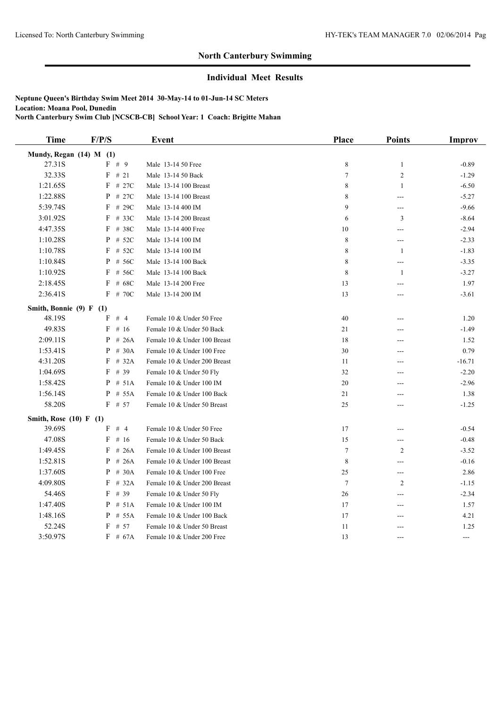# **Individual Meet Results**

| <b>Time</b>             | F/P/S      | <b>Event</b>                 | Place          | <b>Points</b>                     | Improv   |
|-------------------------|------------|------------------------------|----------------|-----------------------------------|----------|
| Mundy, Regan (14) M (1) |            |                              |                |                                   |          |
| 27.31S                  | F # 9      | Male 13-14 50 Free           | 8              | $\mathbf{1}$                      | $-0.89$  |
| 32.33S                  | $F$ # 21   | Male 13-14 50 Back           | $\tau$         | $\sqrt{2}$                        | $-1.29$  |
| 1:21.65S                | $F$ # 27C  | Male 13-14 100 Breast        | 8              | $\mathbf{1}$                      | $-6.50$  |
| 1:22.88S                | $P$ # 27C  | Male 13-14 100 Breast        | 8              | $---$                             | $-5.27$  |
| 5:39.74S                | $F$ # 29C  | Male 13-14 400 IM            | 9              | $---$                             | $-9.66$  |
| 3:01.92S                | $F$ # 33C  | Male 13-14 200 Breast        | 6              | 3                                 | $-8.64$  |
| 4:47.35S                | $F$ # 38C  | Male 13-14 400 Free          | 10             | $\overline{a}$                    | $-2.94$  |
| 1:10.28S                | $P$ # 52C  | Male 13-14 100 IM            | $\,$ 8 $\,$    | $\hspace{0.05cm} \ldots$          | $-2.33$  |
| 1:10.78S                | $F$ # 52C  | Male 13-14 100 IM            | 8              | -1                                | $-1.83$  |
| 1:10.84S                | P # 56C    | Male 13-14 100 Back          | 8              | $\overline{\phantom{a}}$          | $-3.35$  |
| 1:10.92S                | $F$ # 56C  | Male 13-14 100 Back          | 8              | 1                                 | $-3.27$  |
| 2:18.45S                | $F$ # 68C  | Male 13-14 200 Free          | 13             | $---$                             | 1.97     |
| 2:36.41S                | F # 70C    | Male 13-14 200 IM            | 13             | ---                               | $-3.61$  |
| Smith, Bonnie (9) F (1) |            |                              |                |                                   |          |
| 48.19S                  | $F$ # 4    | Female 10 & Under 50 Free    | 40             |                                   | 1.20     |
| 49.83S                  | F<br># 16  | Female 10 & Under 50 Back    | 21             | ---                               | $-1.49$  |
| 2:09.11S                | $P$ # 26A  | Female 10 & Under 100 Breast | 18             | ---                               | 1.52     |
| 1:53.41S                | P<br># 30A | Female 10 & Under 100 Free   | 30             | $---$                             | 0.79     |
| 4:31.20S                | $F$ # 32A  | Female 10 & Under 200 Breast | 11             | ---                               | $-16.71$ |
| 1:04.69S                | F<br># 39  | Female 10 & Under 50 Fly     | 32             | ---                               | $-2.20$  |
| 1:58.42S                | $P$ # 51A  | Female 10 & Under 100 IM     | $20\,$         | ---                               | $-2.96$  |
| 1:56.14S                | P<br># 55A | Female 10 & Under 100 Back   | 21             | ---                               | 1.38     |
| 58.20S                  | $F$ # 57   | Female 10 & Under 50 Breast  | 25             | $\overline{a}$                    | $-1.25$  |
| Smith, Rose (10) F (1)  |            |                              |                |                                   |          |
| 39.69S                  | $F$ # 4    | Female 10 & Under 50 Free    | 17             | ---                               | $-0.54$  |
| 47.08S                  | F<br># 16  | Female 10 & Under 50 Back    | 15             | ---                               | $-0.48$  |
| 1:49.45S                | F<br>#26A  | Female 10 & Under 100 Breast | $\overline{7}$ | $\overline{2}$                    | $-3.52$  |
| 1:52.81S                | $P$ # 26A  | Female 10 & Under 100 Breast | 8              | $\overline{a}$                    | $-0.16$  |
| 1:37.60S                | $P$ # 30A  | Female 10 & Under 100 Free   | 25             | $\hspace{0.05cm} \dashrightarrow$ | 2.86     |
| 4:09.80S                | F<br># 32A | Female 10 & Under 200 Breast | $\tau$         | $\overline{2}$                    | $-1.15$  |
| 54.46S                  | $F$ # 39   | Female 10 & Under 50 Fly     | 26             | $---$                             | $-2.34$  |
| 1:47.40S                | $P$ # 51A  | Female 10 & Under 100 IM     | 17             | $\overline{a}$                    | 1.57     |
| 1:48.16S                | $P$ # 55A  | Female 10 & Under 100 Back   | 17             | $---$                             | 4.21     |
| 52.24S                  | $F$ # 57   | Female 10 & Under 50 Breast  | 11             | ---                               | 1.25     |
| 3:50.97S                | $F$ # 67A  | Female 10 & Under 200 Free   | 13             | $---$                             | ---      |